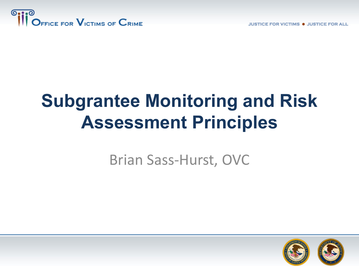

**JUSTICE FOR VICTIMS . JUSTICE FOR ALL** 

# **Subgrantee Monitoring and Risk Assessment Principles**

#### Brian Sass-Hurst, OVC

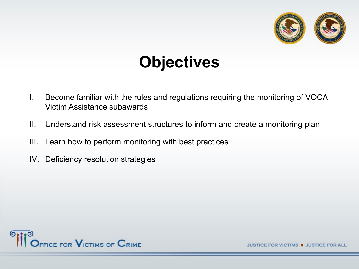

# **Objectives**

- I. Become familiar with the rules and regulations requiring the monitoring of VOCA Victim Assistance subawards
- II. Understand risk assessment structures to inform and create a monitoring plan
- III. Learn how to perform monitoring with best practices
- IV. Deficiency resolution strategies



VICTIMS . JUSTICE FOR A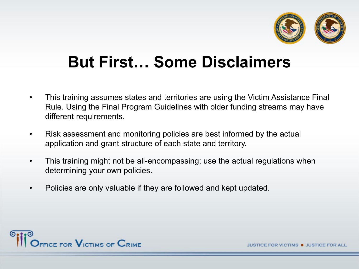

## **But First… Some Disclaimers**

- This training assumes states and territories are using the Victim Assistance Final Rule. Using the Final Program Guidelines with older funding streams may have different requirements.
- Risk assessment and monitoring policies are best informed by the actual application and grant structure of each state and territory.
- This training might not be all-encompassing; use the actual regulations when determining your own policies.
- Policies are only valuable if they are followed and kept updated.

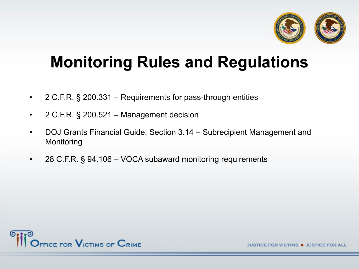

# **Monitoring Rules and Regulations**

- 2 C.F.R. § 200.331 Requirements for pass-through entities
- 2 C.F.R. § 200.521 Management decision
- DOJ Grants Financial Guide, Section 3.14 Subrecipient Management and **Monitoring**
- 28 C.F.R. § 94.106 VOCA subaward monitoring requirements



FOR VICTIMS . JUSTICE FOR AL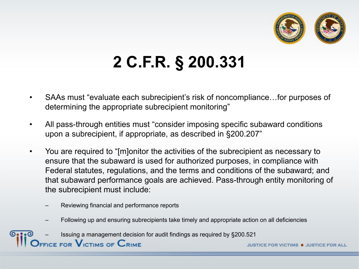

# **2 C.F.R. § 200.331**

- SAAs must "evaluate each subrecipient's risk of noncompliance…for purposes of determining the appropriate subrecipient monitoring"
- All pass-through entities must "consider imposing specific subaward conditions upon a subrecipient, if appropriate, as described in §200.207"
- You are required to "[m]onitor the activities of the subrecipient as necessary to ensure that the subaward is used for authorized purposes, in compliance with Federal statutes, regulations, and the terms and conditions of the subaward; and that subaward performance goals are achieved. Pass-through entity monitoring of the subrecipient must include:
	- Reviewing financial and performance reports
	- Following up and ensuring subrecipients take timely and appropriate action on all deficiencies
	- Issuing a management decision for audit findings as required by §200.521

FICE FOR  $\mathsf{V}_{\mathsf{ICTIMS}}$  of  $\mathsf{C}_{\mathsf{RIME}}$ 

FOR VICTIMS . JUSTICE FOR A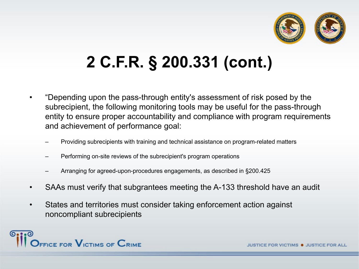

# **2 C.F.R. § 200.331 (cont.)**

- "Depending upon the pass-through entity's assessment of risk posed by the subrecipient, the following monitoring tools may be useful for the pass-through entity to ensure proper accountability and compliance with program requirements and achievement of performance goal:
	- Providing subrecipients with training and technical assistance on program-related matters
	- Performing on-site reviews of the subrecipient's program operations
	- Arranging for agreed-upon-procedures engagements, as described in §200.425
- SAAs must verify that subgrantees meeting the A-133 threshold have an audit
- States and territories must consider taking enforcement action against noncompliant subrecipients

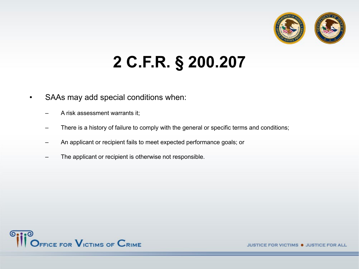

# **2 C.F.R. § 200.207**

- SAAs may add special conditions when:
	- A risk assessment warrants it;
	- There is a history of failure to comply with the general or specific terms and conditions;
	- An applicant or recipient fails to meet expected performance goals; or
	- The applicant or recipient is otherwise not responsible.

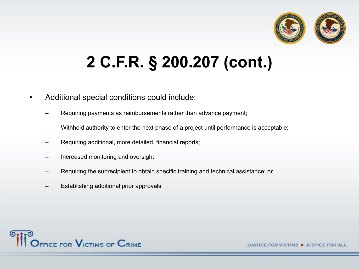

# **2 C.F.R. § 200.207 (cont.)**

- Additional special conditions could include:
	- Requiring payments as reimbursements rather than advance payment;
	- Withhold authority to enter the next phase of a project until performance is acceptable;
	- Requiring additional, more detailed, financial reports;
	- Increased monitoring and oversight;
	- Requiring the subrecipient to obtain specific training and technical assistance; or
	- Establishing additional prior approvals

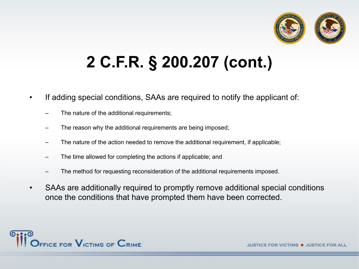

# **2 C.F.R. § 200.207 (cont.)**

- If adding special conditions, SAAs are required to notify the applicant of:
	- The nature of the additional requirements;
	- The reason why the additional requirements are being imposed;
	- The nature of the action needed to remove the additional requirement, if applicable;
	- The time allowed for completing the actions if applicable; and
	- The method for requesting reconsideration of the additional requirements imposed.
- SAAs are additionally required to promptly remove additional special conditions once the conditions that have prompted them have been corrected.

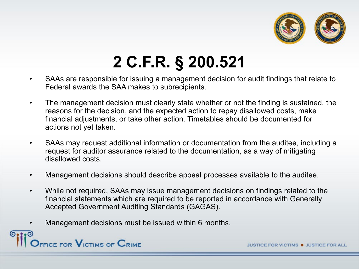

# **2 C.F.R. § 200.521**

- SAAs are responsible for issuing a management decision for audit findings that relate to Federal awards the SAA makes to subrecipients.
- The management decision must clearly state whether or not the finding is sustained, the reasons for the decision, and the expected action to repay disallowed costs, make financial adjustments, or take other action. Timetables should be documented for actions not yet taken.
- SAAs may request additional information or documentation from the auditee, including a request for auditor assurance related to the documentation, as a way of mitigating disallowed costs.
- Management decisions should describe appeal processes available to the auditee.
- While not required, SAAs may issue management decisions on findings related to the financial statements which are required to be reported in accordance with Generally Accepted Government Auditing Standards (GAGAS).
- Management decisions must be issued within 6 months.

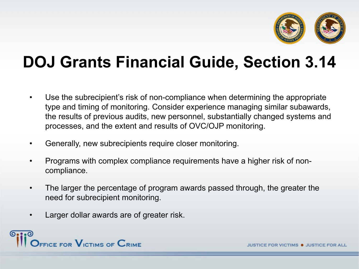

# **DOJ Grants Financial Guide, Section 3.14**

- Use the subrecipient's risk of non-compliance when determining the appropriate type and timing of monitoring. Consider experience managing similar subawards, the results of previous audits, new personnel, substantially changed systems and processes, and the extent and results of OVC/OJP monitoring.
- Generally, new subrecipients require closer monitoring.
- Programs with complex compliance requirements have a higher risk of noncompliance.
- The larger the percentage of program awards passed through, the greater the need for subrecipient monitoring.
- Larger dollar awards are of greater risk.

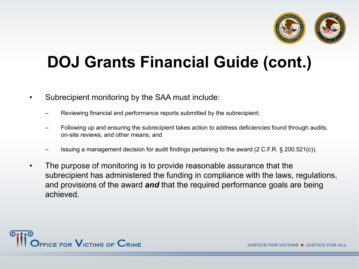

# **DOJ Grants Financial Guide (cont.)**

- Subrecipient monitoring by the SAA must include:
	- Reviewing financial and performance reports submitted by the subrecipient;
	- Following up and ensuring the subrecipient takes action to address deficiencies found through audits, on-site reviews, and other means; and
	- Issuing a management decision for audit findings pertaining to the award (2 C.F.R. § 200.521(c)).
- The purpose of monitoring is to provide reasonable assurance that the subrecipient has administered the funding in compliance with the laws, regulations, and provisions of the award *and* that the required performance goals are being achieved.

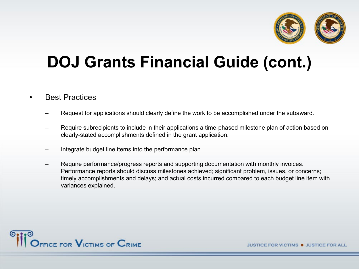

# **DOJ Grants Financial Guide (cont.)**

#### **Best Practices**

- Request for applications should clearly define the work to be accomplished under the subaward.
- Require subrecipients to include in their applications a time-phased milestone plan of action based on clearly-stated accomplishments defined in the grant application.
- Integrate budget line items into the performance plan.
- Require performance/progress reports and supporting documentation with monthly invoices. Performance reports should discuss milestones achieved; significant problem, issues, or concerns; timely accomplishments and delays; and actual costs incurred compared to each budget line item with variances explained.

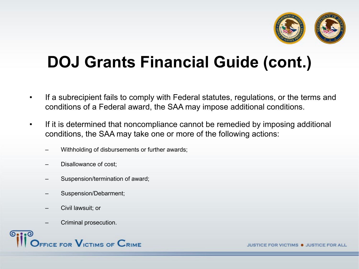

# **DOJ Grants Financial Guide (cont.)**

- If a subrecipient fails to comply with Federal statutes, regulations, or the terms and conditions of a Federal award, the SAA may impose additional conditions.
- If it is determined that noncompliance cannot be remedied by imposing additional conditions, the SAA may take one or more of the following actions:
	- Withholding of disbursements or further awards;
	- Disallowance of cost;
	- Suspension/termination of award;
	- Suspension/Debarment;
	- Civil lawsuit; or
	- Criminal prosecution.

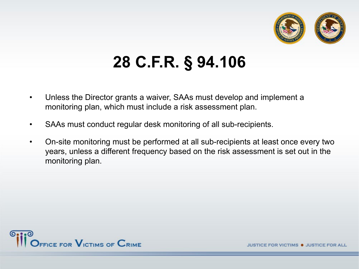

# **28 C.F.R. § 94.106**

- Unless the Director grants a waiver, SAAs must develop and implement a monitoring plan, which must include a risk assessment plan.
- SAAs must conduct regular desk monitoring of all sub-recipients.
- On-site monitoring must be performed at all sub-recipients at least once every two years, unless a different frequency based on the risk assessment is set out in the monitoring plan.

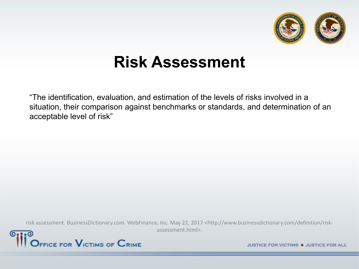

#### **Risk Assessment**

"The identification, evaluation, and estimation of the levels of risks involved in a situation, their comparison against benchmarks or standards, and determination of an acceptable level of risk"

risk assessment. BusinessDictionary.com. WebFinance, Inc. May 22, 2017 <http://www.businessdictionary.com/definition/riskassessment.html>.

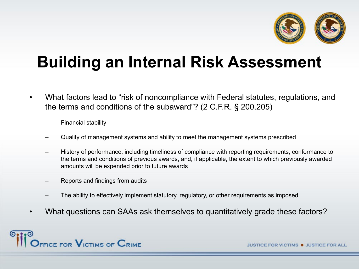

# **Building an Internal Risk Assessment**

- What factors lead to "risk of noncompliance with Federal statutes, regulations, and the terms and conditions of the subaward"? (2 C.F.R. § 200.205)
	- Financial stability
	- Quality of management systems and ability to meet the management systems prescribed
	- History of performance, including timeliness of compliance with reporting requirements, conformance to the terms and conditions of previous awards, and, if applicable, the extent to which previously awarded amounts will be expended prior to future awards
	- Reports and findings from audits
	- The ability to effectively implement statutory, regulatory, or other requirements as imposed
- What questions can SAAs ask themselves to quantitatively grade these factors?

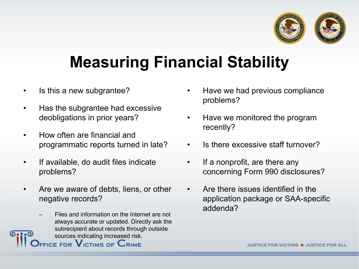

# **Measuring Financial Stability**

- Is this a new subgrantee?
- Has the subgrantee had excessive deobligations in prior years?
- How often are financial and programmatic reports turned in late?
- If available, do audit files indicate problems?
- Are we aware of debts, liens, or other negative records?
	- Files and information on the Internet are not always accurate or updated. Directly ask the subrecipient about records through outside sources indicating increased risk.<br>FICE FOR VICTIMS OF CRIME
- Have we had previous compliance problems?
- Have we monitored the program recently?
- Is there excessive staff turnover?
- If a nonprofit, are there any concerning Form 990 disclosures?
- Are there issues identified in the application package or SAA-specific addenda?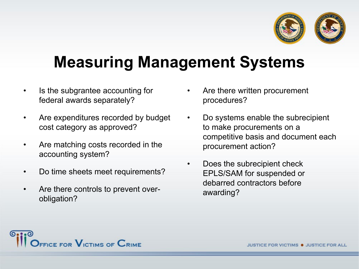

# **Measuring Management Systems**

- Is the subgrantee accounting for federal awards separately?
- Are expenditures recorded by budget cost category as approved?
- Are matching costs recorded in the accounting system?
- Do time sheets meet requirements?
- Are there controls to prevent overobligation?
- Are there written procurement procedures?
- Do systems enable the subrecipient to make procurements on a competitive basis and document each procurement action?
- Does the subrecipient check EPLS/SAM for suspended or debarred contractors before awarding?

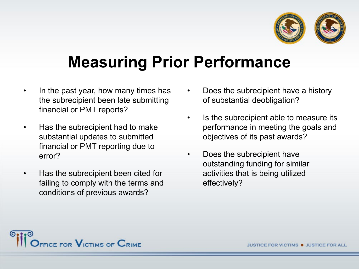

# **Measuring Prior Performance**

- In the past year, how many times has the subrecipient been late submitting financial or PMT reports?
- Has the subrecipient had to make substantial updates to submitted financial or PMT reporting due to error?
- Has the subrecipient been cited for failing to comply with the terms and conditions of previous awards?
- Does the subrecipient have a history of substantial deobligation?
- Is the subrecipient able to measure its performance in meeting the goals and objectives of its past awards?
- Does the subrecipient have outstanding funding for similar activities that is being utilized effectively?

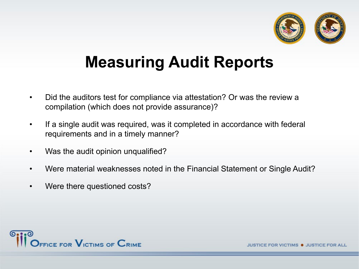

## **Measuring Audit Reports**

- Did the auditors test for compliance via attestation? Or was the review a compilation (which does not provide assurance)?
- If a single audit was required, was it completed in accordance with federal requirements and in a timely manner?
- Was the audit opinion unqualified?
- Were material weaknesses noted in the Financial Statement or Single Audit?
- Were there questioned costs?



VICTIMS . JUSTICE FOR A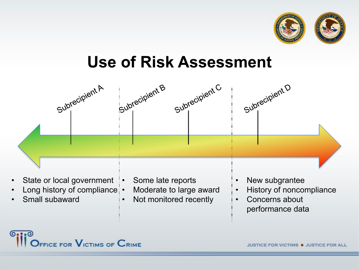

### **Use of Risk Assessment**



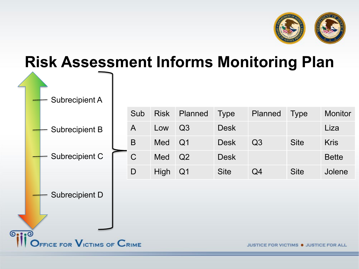

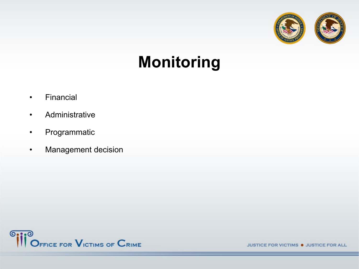

## **Monitoring**

- Financial
- Administrative
- Programmatic
- Management decision

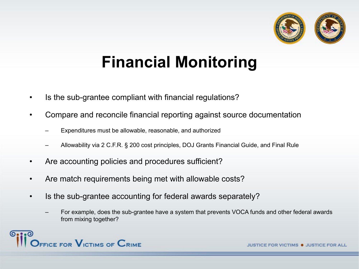

# **Financial Monitoring**

- Is the sub-grantee compliant with financial regulations?
- Compare and reconcile financial reporting against source documentation
	- Expenditures must be allowable, reasonable, and authorized
	- Allowability via 2 C.F.R. § 200 cost principles, DOJ Grants Financial Guide, and Final Rule
- Are accounting policies and procedures sufficient?
- Are match requirements being met with allowable costs?
- Is the sub-grantee accounting for federal awards separately?
	- For example, does the sub-grantee have a system that prevents VOCA funds and other federal awards from mixing together?

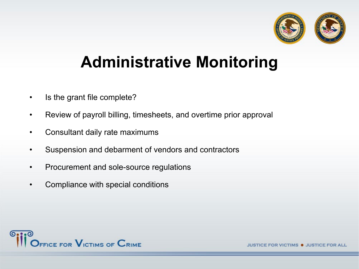

## **Administrative Monitoring**

- Is the grant file complete?
- Review of payroll billing, timesheets, and overtime prior approval
- Consultant daily rate maximums
- Suspension and debarment of vendors and contractors
- Procurement and sole-source regulations
- Compliance with special conditions



**VICTIMS . JUSTICE FOR AL**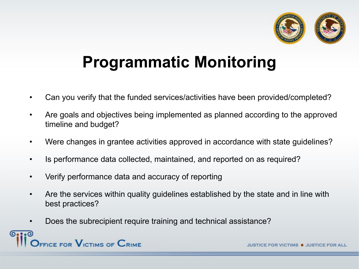

# **Programmatic Monitoring**

- Can you verify that the funded services/activities have been provided/completed?
- Are goals and objectives being implemented as planned according to the approved timeline and budget?
- Were changes in grantee activities approved in accordance with state guidelines?
- Is performance data collected, maintained, and reported on as required?
- Verify performance data and accuracy of reporting
- Are the services within quality guidelines established by the state and in line with best practices?
- Does the subrecipient require training and technical assistance?



**TIMS . JUSTICE FOR A**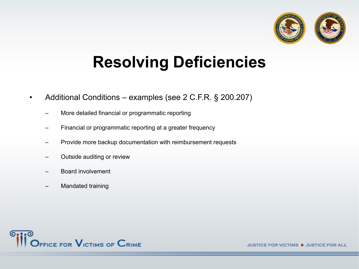

# **Resolving Deficiencies**

- Additional Conditions examples (see 2 C.F.R. § 200.207)
	- More detailed financial or programmatic reporting
	- Financial or programmatic reporting at a greater frequency
	- Provide more backup documentation with reimbursement requests
	- Outside auditing or review
	- Board involvement
	- Mandated training

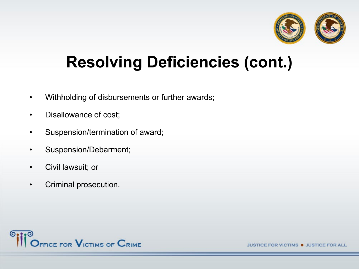

# **Resolving Deficiencies (cont.)**

- Withholding of disbursements or further awards;
- Disallowance of cost;
- Suspension/termination of award;
- Suspension/Debarment;
- Civil lawsuit; or
- Criminal prosecution.